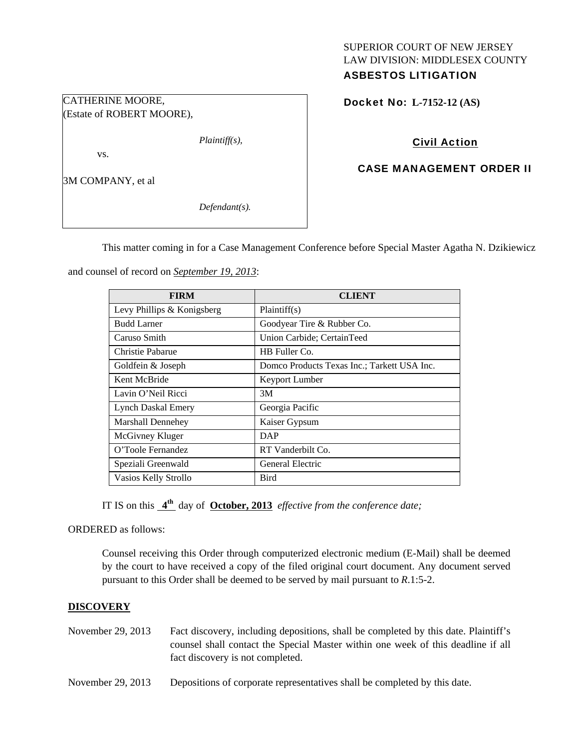## SUPERIOR COURT OF NEW JERSEY LAW DIVISION: MIDDLESEX COUNTY ASBESTOS LITIGATION

Docket No: **L-7152-12 (AS)** 

# Civil Action

# CASE MANAGEMENT ORDER II

(Estate of ROBERT MOORE),

CATHERINE MOORE,

3M COMPANY, et al

vs.

*Defendant(s).* 

*Plaintiff(s),* 

This matter coming in for a Case Management Conference before Special Master Agatha N. Dzikiewicz

and counsel of record on *September 19, 2013*:

| <b>FIRM</b>                | CLIENT                                      |
|----------------------------|---------------------------------------------|
| Levy Phillips & Konigsberg | Plaintiff(s)                                |
| <b>Budd Larner</b>         | Goodyear Tire & Rubber Co.                  |
| Caruso Smith               | Union Carbide; CertainTeed                  |
| Christie Pabarue           | HB Fuller Co.                               |
| Goldfein & Joseph          | Domco Products Texas Inc.; Tarkett USA Inc. |
| Kent McBride               | <b>Keyport Lumber</b>                       |
| Lavin O'Neil Ricci         | 3M                                          |
| Lynch Daskal Emery         | Georgia Pacific                             |
| <b>Marshall Dennehey</b>   | Kaiser Gypsum                               |
| McGivney Kluger            | <b>DAP</b>                                  |
| O'Toole Fernandez          | RT Vanderbilt Co.                           |
| Speziali Greenwald         | General Electric                            |
| Vasios Kelly Strollo       | <b>Bird</b>                                 |

IT IS on this **4th** day of **October, 2013** *effective from the conference date;*

ORDERED as follows:

Counsel receiving this Order through computerized electronic medium (E-Mail) shall be deemed by the court to have received a copy of the filed original court document. Any document served pursuant to this Order shall be deemed to be served by mail pursuant to *R*.1:5-2.

# **DISCOVERY**

November 29, 2013 Fact discovery, including depositions, shall be completed by this date. Plaintiff's counsel shall contact the Special Master within one week of this deadline if all fact discovery is not completed.

November 29, 2013 Depositions of corporate representatives shall be completed by this date.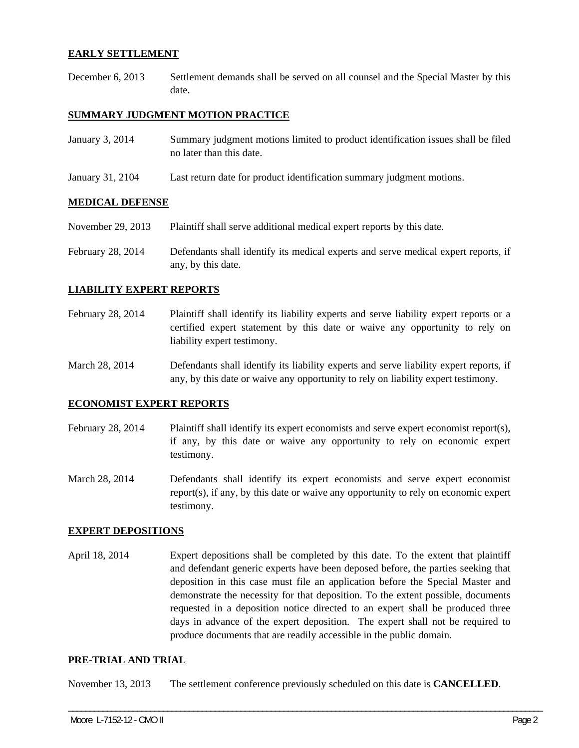## **EARLY SETTLEMENT**

December 6, 2013 Settlement demands shall be served on all counsel and the Special Master by this date.

## **SUMMARY JUDGMENT MOTION PRACTICE**

| January 3, 2014  | Summary judgment motions limited to product identification issues shall be filed<br>no later than this date. |
|------------------|--------------------------------------------------------------------------------------------------------------|
| January 31, 2104 | Last return date for product identification summary judgment motions.                                        |

# **MEDICAL DEFENSE**

| November 29, 2013 | Plaintiff shall serve additional medical expert reports by this date. |  |
|-------------------|-----------------------------------------------------------------------|--|
|                   |                                                                       |  |

February 28, 2014 Defendants shall identify its medical experts and serve medical expert reports, if any, by this date.

## **LIABILITY EXPERT REPORTS**

- February 28, 2014 Plaintiff shall identify its liability experts and serve liability expert reports or a certified expert statement by this date or waive any opportunity to rely on liability expert testimony.
- March 28, 2014 Defendants shall identify its liability experts and serve liability expert reports, if any, by this date or waive any opportunity to rely on liability expert testimony.

## **ECONOMIST EXPERT REPORTS**

- February 28, 2014 Plaintiff shall identify its expert economists and serve expert economist report(s), if any, by this date or waive any opportunity to rely on economic expert testimony.
- March 28, 2014 Defendants shall identify its expert economists and serve expert economist report(s), if any, by this date or waive any opportunity to rely on economic expert testimony.

## **EXPERT DEPOSITIONS**

April 18, 2014 Expert depositions shall be completed by this date. To the extent that plaintiff and defendant generic experts have been deposed before, the parties seeking that deposition in this case must file an application before the Special Master and demonstrate the necessity for that deposition. To the extent possible, documents requested in a deposition notice directed to an expert shall be produced three days in advance of the expert deposition. The expert shall not be required to produce documents that are readily accessible in the public domain.

## **PRE-TRIAL AND TRIAL**

November 13, 2013 The settlement conference previously scheduled on this date is **CANCELLED**.

\_\_\_\_\_\_\_\_\_\_\_\_\_\_\_\_\_\_\_\_\_\_\_\_\_\_\_\_\_\_\_\_\_\_\_\_\_\_\_\_\_\_\_\_\_\_\_\_\_\_\_\_\_\_\_\_\_\_\_\_\_\_\_\_\_\_\_\_\_\_\_\_\_\_\_\_\_\_\_\_\_\_\_\_\_\_\_\_\_\_\_\_\_\_\_\_\_\_\_\_\_\_\_\_\_\_\_\_\_\_